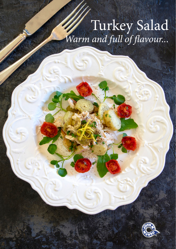# Turkey Salad *Warm and full of flavour...*